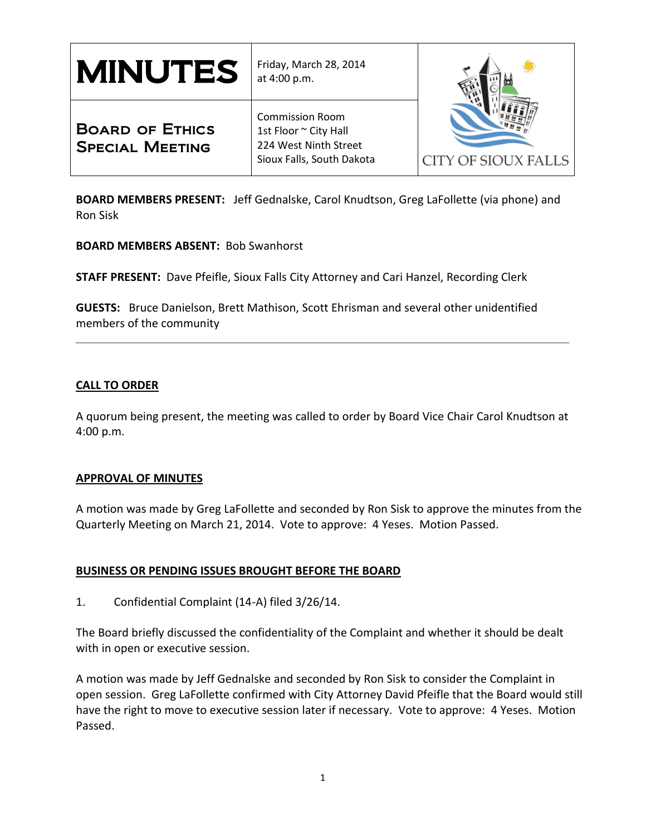| <b>MINUTES</b>                                   | Friday, March 28, 2014<br>at 4:00 p.m.                                                                | CITY OF SIOUX FALLS |
|--------------------------------------------------|-------------------------------------------------------------------------------------------------------|---------------------|
| <b>BOARD OF ETHICS</b><br><b>SPECIAL MEETING</b> | <b>Commission Room</b><br>1st Floor ~ City Hall<br>224 West Ninth Street<br>Sioux Falls, South Dakota |                     |

**BOARD MEMBERS PRESENT:** Jeff Gednalske, Carol Knudtson, Greg LaFollette (via phone) and Ron Sisk

**BOARD MEMBERS ABSENT:** Bob Swanhorst

**STAFF PRESENT:** Dave Pfeifle, Sioux Falls City Attorney and Cari Hanzel, Recording Clerk

**GUESTS:** Bruce Danielson, Brett Mathison, Scott Ehrisman and several other unidentified members of the community

### **CALL TO ORDER**

A quorum being present, the meeting was called to order by Board Vice Chair Carol Knudtson at 4:00 p.m.

### **APPROVAL OF MINUTES**

A motion was made by Greg LaFollette and seconded by Ron Sisk to approve the minutes from the Quarterly Meeting on March 21, 2014. Vote to approve: 4 Yeses. Motion Passed.

# **BUSINESS OR PENDING ISSUES BROUGHT BEFORE THE BOARD**

1. Confidential Complaint (14-A) filed 3/26/14.

The Board briefly discussed the confidentiality of the Complaint and whether it should be dealt with in open or executive session.

A motion was made by Jeff Gednalske and seconded by Ron Sisk to consider the Complaint in open session. Greg LaFollette confirmed with City Attorney David Pfeifle that the Board would still have the right to move to executive session later if necessary. Vote to approve: 4 Yeses. Motion Passed.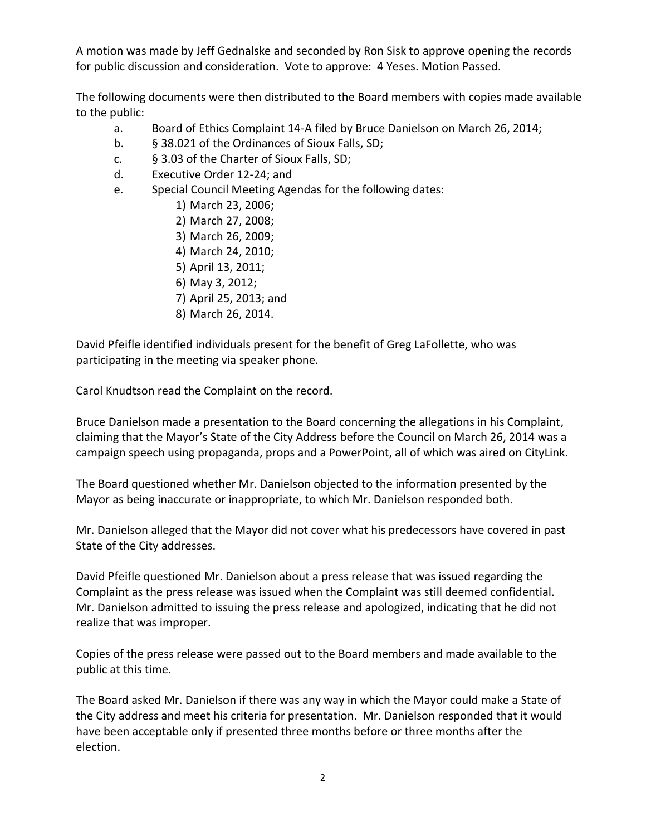A motion was made by Jeff Gednalske and seconded by Ron Sisk to approve opening the records for public discussion and consideration. Vote to approve: 4 Yeses. Motion Passed.

The following documents were then distributed to the Board members with copies made available to the public:

- a. Board of Ethics Complaint 14-A filed by Bruce Danielson on March 26, 2014;
- b. § 38.021 of the Ordinances of Sioux Falls, SD;
- c. § 3.03 of the Charter of Sioux Falls, SD;
- d. Executive Order 12-24; and
- e. Special Council Meeting Agendas for the following dates:
	- 1) March 23, 2006;
	- 2) March 27, 2008;
	- 3) March 26, 2009;
	- 4) March 24, 2010;
	- 5) April 13, 2011;
	- 6) May 3, 2012;
	- 7) April 25, 2013; and
	- 8) March 26, 2014.

David Pfeifle identified individuals present for the benefit of Greg LaFollette, who was participating in the meeting via speaker phone.

Carol Knudtson read the Complaint on the record.

Bruce Danielson made a presentation to the Board concerning the allegations in his Complaint, claiming that the Mayor's State of the City Address before the Council on March 26, 2014 was a campaign speech using propaganda, props and a PowerPoint, all of which was aired on CityLink.

The Board questioned whether Mr. Danielson objected to the information presented by the Mayor as being inaccurate or inappropriate, to which Mr. Danielson responded both.

Mr. Danielson alleged that the Mayor did not cover what his predecessors have covered in past State of the City addresses.

David Pfeifle questioned Mr. Danielson about a press release that was issued regarding the Complaint as the press release was issued when the Complaint was still deemed confidential. Mr. Danielson admitted to issuing the press release and apologized, indicating that he did not realize that was improper.

Copies of the press release were passed out to the Board members and made available to the public at this time.

The Board asked Mr. Danielson if there was any way in which the Mayor could make a State of the City address and meet his criteria for presentation. Mr. Danielson responded that it would have been acceptable only if presented three months before or three months after the election.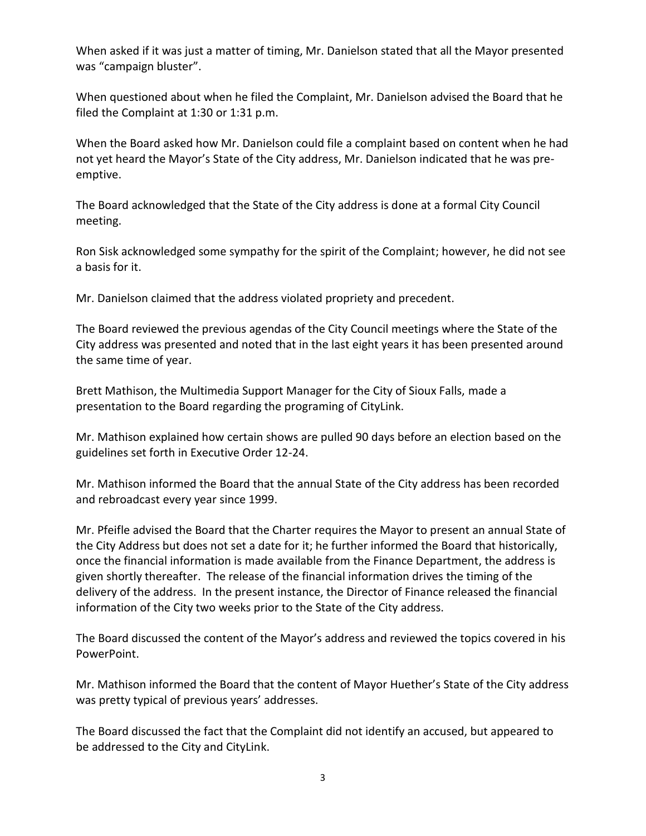When asked if it was just a matter of timing, Mr. Danielson stated that all the Mayor presented was "campaign bluster".

When questioned about when he filed the Complaint, Mr. Danielson advised the Board that he filed the Complaint at 1:30 or 1:31 p.m.

When the Board asked how Mr. Danielson could file a complaint based on content when he had not yet heard the Mayor's State of the City address, Mr. Danielson indicated that he was preemptive.

The Board acknowledged that the State of the City address is done at a formal City Council meeting.

Ron Sisk acknowledged some sympathy for the spirit of the Complaint; however, he did not see a basis for it.

Mr. Danielson claimed that the address violated propriety and precedent.

The Board reviewed the previous agendas of the City Council meetings where the State of the City address was presented and noted that in the last eight years it has been presented around the same time of year.

Brett Mathison, the Multimedia Support Manager for the City of Sioux Falls, made a presentation to the Board regarding the programing of CityLink.

Mr. Mathison explained how certain shows are pulled 90 days before an election based on the guidelines set forth in Executive Order 12-24.

Mr. Mathison informed the Board that the annual State of the City address has been recorded and rebroadcast every year since 1999.

Mr. Pfeifle advised the Board that the Charter requires the Mayor to present an annual State of the City Address but does not set a date for it; he further informed the Board that historically, once the financial information is made available from the Finance Department, the address is given shortly thereafter. The release of the financial information drives the timing of the delivery of the address. In the present instance, the Director of Finance released the financial information of the City two weeks prior to the State of the City address.

The Board discussed the content of the Mayor's address and reviewed the topics covered in his PowerPoint.

Mr. Mathison informed the Board that the content of Mayor Huether's State of the City address was pretty typical of previous years' addresses.

The Board discussed the fact that the Complaint did not identify an accused, but appeared to be addressed to the City and CityLink.